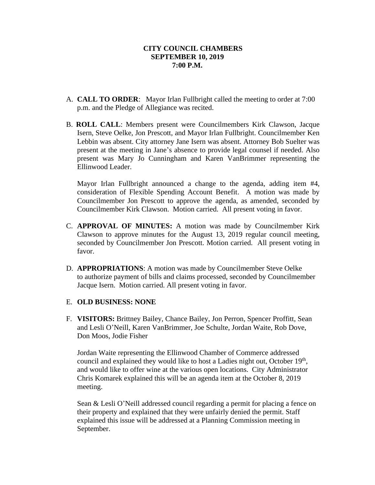- A. **CALL TO ORDER**: Mayor Irlan Fullbright called the meeting to order at 7:00 p.m. and the Pledge of Allegiance was recited.
- B. **ROLL CALL**: Members present were Councilmembers Kirk Clawson, Jacque Isern, Steve Oelke, Jon Prescott, and Mayor Irlan Fullbright. Councilmember Ken Lebbin was absent. City attorney Jane Isern was absent. Attorney Bob Suelter was present at the meeting in Jane's absence to provide legal counsel if needed. Also present was Mary Jo Cunningham and Karen VanBrimmer representing the Ellinwood Leader.

Mayor Irlan Fullbright announced a change to the agenda, adding item #4, consideration of Flexible Spending Account Benefit. A motion was made by Councilmember Jon Prescott to approve the agenda, as amended, seconded by Councilmember Kirk Clawson. Motion carried. All present voting in favor.

- C. **APPROVAL OF MINUTES:** A motion was made by Councilmember Kirk Clawson to approve minutes for the August 13, 2019 regular council meeting, seconded by Councilmember Jon Prescott. Motion carried. All present voting in favor.
- D. **APPROPRIATIONS**: A motion was made by Councilmember Steve Oelke to authorize payment of bills and claims processed, seconded by Councilmember Jacque Isern. Motion carried. All present voting in favor.

# E. **OLD BUSINESS: NONE**

F. **VISITORS:** Brittney Bailey, Chance Bailey, Jon Perron, Spencer Proffitt, Sean and Lesli O'Neill, Karen VanBrimmer, Joe Schulte, Jordan Waite, Rob Dove, Don Moos, Jodie Fisher

Jordan Waite representing the Ellinwood Chamber of Commerce addressed council and explained they would like to host a Ladies night out, October  $19<sup>th</sup>$ , and would like to offer wine at the various open locations. City Administrator Chris Komarek explained this will be an agenda item at the October 8, 2019 meeting.

Sean & Lesli O'Neill addressed council regarding a permit for placing a fence on their property and explained that they were unfairly denied the permit. Staff explained this issue will be addressed at a Planning Commission meeting in September.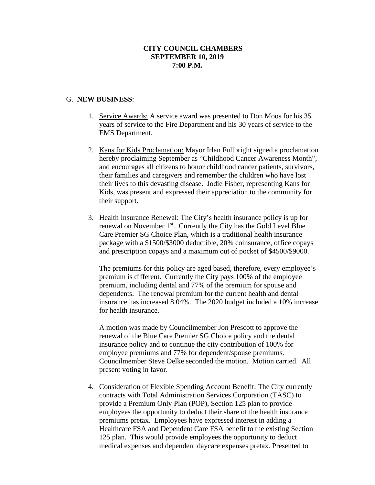### G. **NEW BUSINESS**:

- 1. Service Awards: A service award was presented to Don Moos for his 35 years of service to the Fire Department and his 30 years of service to the EMS Department.
- 2. Kans for Kids Proclamation: Mayor Irlan Fullbright signed a proclamation hereby proclaiming September as "Childhood Cancer Awareness Month", and encourages all citizens to honor childhood cancer patients, survivors, their families and caregivers and remember the children who have lost their lives to this devasting disease. Jodie Fisher, representing Kans for Kids, was present and expressed their appreciation to the community for their support.
- 3. Health Insurance Renewal: The City's health insurance policy is up for renewal on November 1st. Currently the City has the Gold Level Blue Care Premier SG Choice Plan, which is a traditional health insurance package with a \$1500/\$3000 deductible, 20% coinsurance, office copays and prescription copays and a maximum out of pocket of \$4500/\$9000.

The premiums for this policy are aged based, therefore, every employee's premium is different. Currently the City pays 100% of the employee premium, including dental and 77% of the premium for spouse and dependents. The renewal premium for the current health and dental insurance has increased 8.04%. The 2020 budget included a 10% increase for health insurance.

A motion was made by Councilmember Jon Prescott to approve the renewal of the Blue Care Premier SG Choice policy and the dental insurance policy and to continue the city contribution of 100% for employee premiums and 77% for dependent/spouse premiums. Councilmember Steve Oelke seconded the motion. Motion carried. All present voting in favor.

4. Consideration of Flexible Spending Account Benefit: The City currently contracts with Total Administration Services Corporation (TASC) to provide a Premium Only Plan (POP), Section 125 plan to provide employees the opportunity to deduct their share of the health insurance premiums pretax. Employees have expressed interest in adding a Healthcare FSA and Dependent Care FSA benefit to the existing Section 125 plan. This would provide employees the opportunity to deduct medical expenses and dependent daycare expenses pretax. Presented to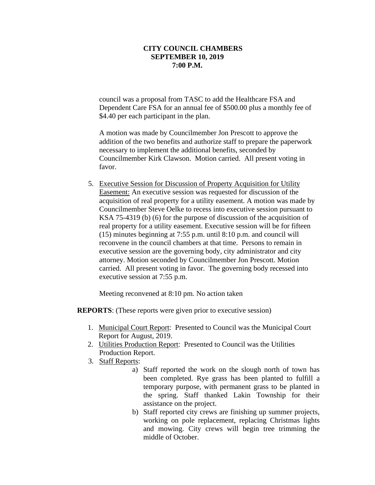council was a proposal from TASC to add the Healthcare FSA and Dependent Care FSA for an annual fee of \$500.00 plus a monthly fee of \$4.40 per each participant in the plan.

A motion was made by Councilmember Jon Prescott to approve the addition of the two benefits and authorize staff to prepare the paperwork necessary to implement the additional benefits, seconded by Councilmember Kirk Clawson. Motion carried. All present voting in favor.

5. Executive Session for Discussion of Property Acquisition for Utility Easement: An executive session was requested for discussion of the acquisition of real property for a utility easement. A motion was made by Councilmember Steve Oelke to recess into executive session pursuant to KSA 75-4319 (b) (6) for the purpose of discussion of the acquisition of real property for a utility easement. Executive session will be for fifteen (15) minutes beginning at 7:55 p.m. until 8:10 p.m. and council will reconvene in the council chambers at that time. Persons to remain in executive session are the governing body, city administrator and city attorney. Motion seconded by Councilmember Jon Prescott. Motion carried. All present voting in favor. The governing body recessed into executive session at 7:55 p.m.

Meeting reconvened at 8:10 pm. No action taken

**REPORTS**: (These reports were given prior to executive session)

- 1. Municipal Court Report: Presented to Council was the Municipal Court Report for August, 2019.
- 2. Utilities Production Report: Presented to Council was the Utilities Production Report.
- 3. Staff Reports:
	- a) Staff reported the work on the slough north of town has been completed. Rye grass has been planted to fulfill a temporary purpose, with permanent grass to be planted in the spring. Staff thanked Lakin Township for their assistance on the project.
	- b) Staff reported city crews are finishing up summer projects, working on pole replacement, replacing Christmas lights and mowing. City crews will begin tree trimming the middle of October.